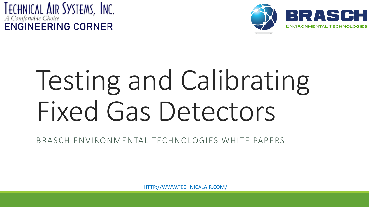



# Testing and Calibrating Fixed Gas Detectors

BRASCH ENVIRONMENTAL TECHNOLOGIES WHITE PAPERS

[HTTP://WWW.TECHNICALAIR.COM/](http://www.technicalair.com/)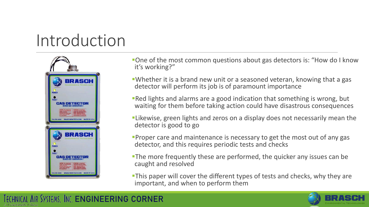#### Introduction



- **•One of the most common questions about gas detectors is: "How do I know** it's working?"
- **•Whether it is a brand new unit or a seasoned veteran, knowing that a gas** detector will perform its job is of paramount importance
- **Red lights and alarms are a good indication that something is wrong, but** waiting for them before taking action could have disastrous consequences
- **ELI** Likewise, green lights and zeros on a display does not necessarily mean the detector is good to go
- **Proper care and maintenance is necessary to get the most out of any gas** detector, and this requires periodic tests and checks
- **The more frequently these are performed, the quicker any issues can be** caught and resolved
- **-This paper will cover the different types of tests and checks, why they are** important, and when to perform them

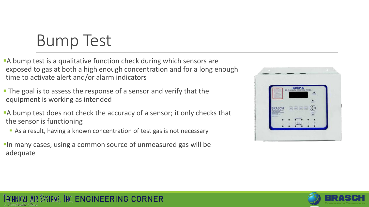## Bump Test

- **A** bump test is a qualitative function check during which sensors are exposed to gas at both a high enough concentration and for a long enough time to activate alert and/or alarm indicators
- **The goal is to assess the response of a sensor and verify that the** equipment is working as intended
- A bump test does not check the accuracy of a sensor; it only checks that the sensor is functioning
	- As a result, having a known concentration of test gas is not necessary
- **In many cases, using a common source of unmeasured gas will be** adequate



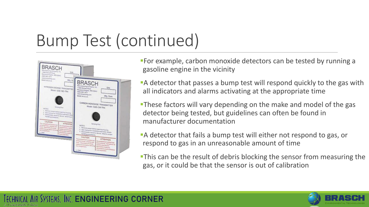## Bump Test (continued)



**For example, carbon monoxide detectors can be tested by running a** gasoline engine in the vicinity

**A** detector that passes a bump test will respond quickly to the gas with all indicators and alarms activating at the appropriate time

**These factors will vary depending on the make and model of the gas** detector being tested, but guidelines can often be found in manufacturer documentation

**A** detector that fails a bump test will either not respond to gas, or respond to gas in an unreasonable amount of time

**This can be the result of debris blocking the sensor from measuring the** gas, or it could be that the sensor is out of calibration

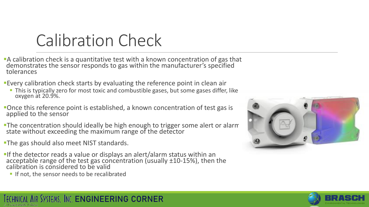#### Calibration Check

- **A calibration check is a quantitative test with a known concentration of gas that** demonstrates the sensor responds to gas within the manufacturer's specified tolerances
- **Every calibration check starts by evaluating the reference point in clean air** 
	- **This is typically zero for most toxic and combustible gases, but some gases differ, like** oxygen at 20.9%.
- **•Once this reference point is established, a known concentration of test gas is** applied to the sensor
- **The concentration should ideally be high enough to trigger some alert or alarm** state without exceeding the maximum range of the detector
- **The gas should also meet NIST standards.**
- **If the detector reads a value or displays an alert/alarm status within an** acceptable range of the test gas concentration (usually ±10-15%), then the calibration is considered to be valid
	- **If not, the sensor needs to be recalibrated**





#### TECHNICAL AIR SYSTEMS, INC. [ENGINEERING CORNER](http://www.technicalair.com/engineering-corner)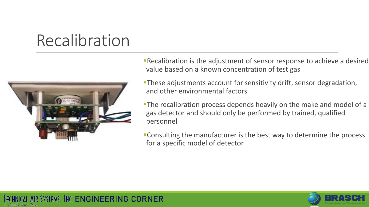## Recalibration



**Recalibration is the adjustment of sensor response to achieve a desired** value based on a known concentration of test gas

**These adjustments account for sensitivity drift, sensor degradation,** and other environmental factors

**The recalibration process depends heavily on the make and model of a** gas detector and should only be performed by trained, qualified personnel

**•Consulting the manufacturer is the best way to determine the process** for a specific model of detector

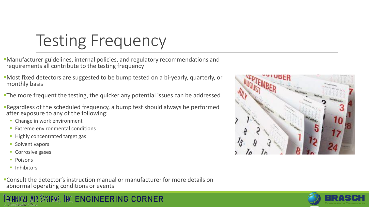# Testing Frequency

- ▪Manufacturer guidelines, internal policies, and regulatory recommendations and requirements all contribute to the testing frequency
- ▪Most fixed detectors are suggested to be bump tested on a bi-yearly, quarterly, or monthly basis
- **The more frequent the testing, the quicker any potential issues can be addressed**
- **Example 1 FRegardless of the scheduled frequency, a bump test should always be performed** after exposure to any of the following:
	- **Change in work environment**
	- **Extreme environmental conditions**
	- **EXPLO Highly concentrated target gas**
	- Solvent vapors
	- **Corrosive gases**
	- Poisons
	- Inhibitors
- ▪Consult the detector's instruction manual or manufacturer for more details on abnormal operating conditions or events





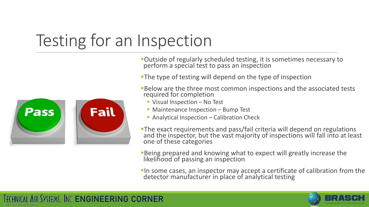# Testing for an Inspection



**Outside of regularly scheduled testing, it is sometimes necessary to** perform a special test to pass an inspection

**The type of testing will depend on the type of inspection** 

**Below are the three most common inspections and the associated tests** required for completion

- Visual Inspection No Test
- Maintenance Inspection Bump Test
- Analytical Inspection Calibration Check

**The exact requirements and pass/fail criteria will depend on regulations** and the inspector, but the vast majority of inspections will fall into at least one of these categories

**Being prepared and knowing what to expect will greatly increase the** likelihood of passing an inspection

**In some cases, an inspector may accept a certificate of calibration from the** detector manufacturer in place of analytical testing

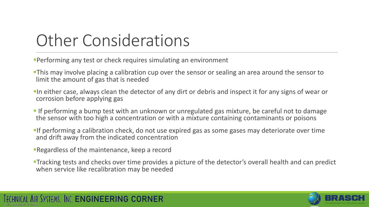## Other Considerations

**Performing any test or check requires simulating an environment** 

- **This may involve placing a calibration cup over the sensor or sealing an area around the sensor to** limit the amount of gas that is needed
- **In either case, always clean the detector of any dirt or debris and inspect it for any signs of wear or** corrosion before applying gas
- **If performing a bump test with an unknown or unregulated gas mixture, be careful not to damage** the sensor with too high a concentration or with a mixture containing contaminants or poisons
- **If performing a calibration check, do not use expired gas as some gases may deteriorate over time** and drift away from the indicated concentration
- **Regardless of the maintenance, keep a record**

TECHNICAL AIR SYSTEMS, INC. [ENGINEERING CORNER](http://www.technicalair.com/engineering-corner)

**Tracking tests and checks over time provides a picture of the detector's overall health and can predict** when service like recalibration may be needed

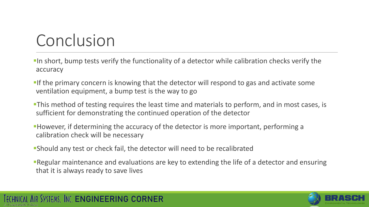# Conclusion

- **In short, bump tests verify the functionality of a detector while calibration checks verify the** accuracy
- **If the primary concern is knowing that the detector will respond to gas and activate some** ventilation equipment, a bump test is the way to go
- **This method of testing requires the least time and materials to perform, and in most cases, is** sufficient for demonstrating the continued operation of the detector
- **However, if determining the accuracy of the detector is more important, performing a** calibration check will be necessary
- **Should any test or check fail, the detector will need to be recalibrated**
- **Regular maintenance and evaluations are key to extending the life of a detector and ensuring** that it is always ready to save lives